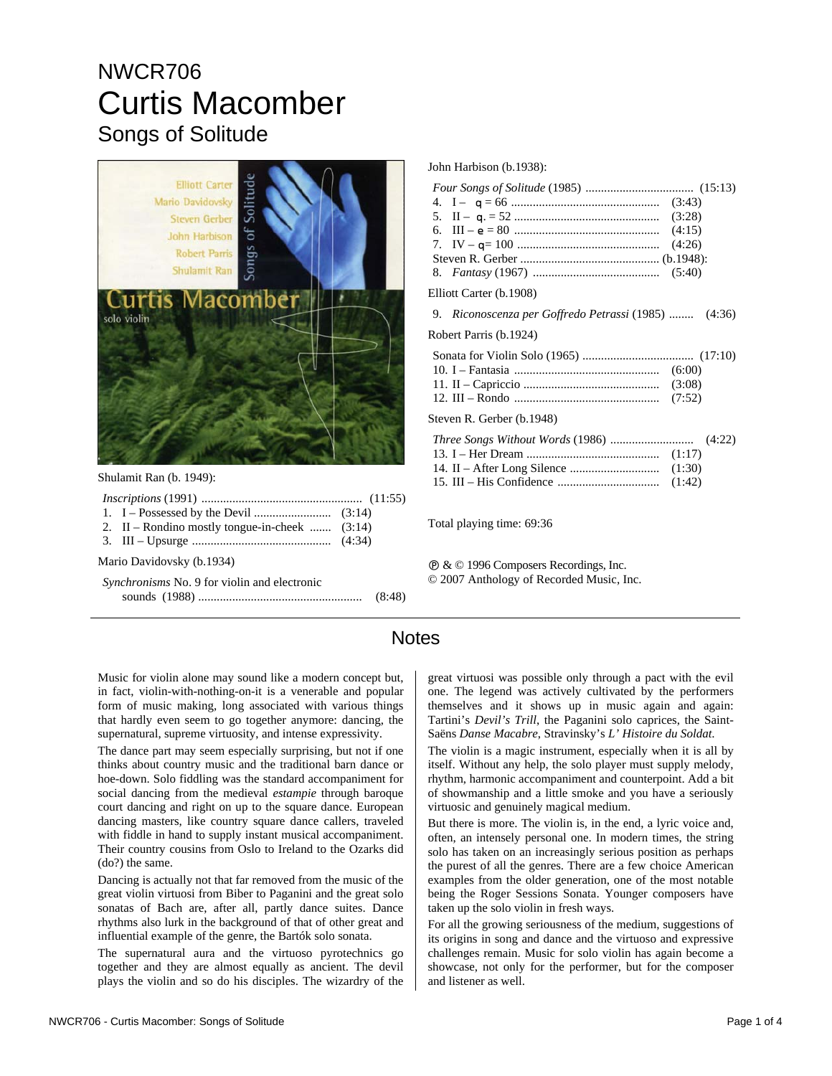## NWCR706 Curtis Macomber Songs of Solitude



Shulamit Ran (b. 1949):

| 2. II – Rondino mostly tongue-in-cheek $(3.14)$     |  |
|-----------------------------------------------------|--|
|                                                     |  |
| Mario Davidovsky (b.1934)                           |  |
| <i>Synchronisms</i> No. 9 for violin and electronic |  |
|                                                     |  |

John Harbison (b.1938):

Elliott Carter (b.1908)

9. *Riconoscenza per Goffredo Petrassi* (1985) ........ (4:36)

Robert Parris (b.1924)

| Steven R. Gerber (b.1948) |  |
|---------------------------|--|

Total playing time: 69:36

Ê & © 1996 Composers Recordings, Inc. © 2007 Anthology of Recorded Music, Inc.

## **Notes**

Music for violin alone may sound like a modern concept but, in fact, violin-with-nothing-on-it is a venerable and popular form of music making, long associated with various things that hardly even seem to go together anymore: dancing, the supernatural, supreme virtuosity, and intense expressivity.

The dance part may seem especially surprising, but not if one thinks about country music and the traditional barn dance or hoe-down. Solo fiddling was the standard accompaniment for social dancing from the medieval *estampie* through baroque court dancing and right on up to the square dance. European dancing masters, like country square dance callers, traveled with fiddle in hand to supply instant musical accompaniment. Their country cousins from Oslo to Ireland to the Ozarks did (do?) the same.

Dancing is actually not that far removed from the music of the great violin virtuosi from Biber to Paganini and the great solo sonatas of Bach are, after all, partly dance suites. Dance rhythms also lurk in the background of that of other great and influential example of the genre, the Bartók solo sonata.

The supernatural aura and the virtuoso pyrotechnics go together and they are almost equally as ancient. The devil plays the violin and so do his disciples. The wizardry of the

great virtuosi was possible only through a pact with the evil one. The legend was actively cultivated by the performers themselves and it shows up in music again and again: Tartini's *Devil's Trill*, the Paganini solo caprices, the Saint-Saëns *Danse Macabre*, Stravinsky's *L' Histoire du Soldat*.

The violin is a magic instrument, especially when it is all by itself. Without any help, the solo player must supply melody, rhythm, harmonic accompaniment and counterpoint. Add a bit of showmanship and a little smoke and you have a seriously virtuosic and genuinely magical medium.

But there is more. The violin is, in the end, a lyric voice and, often, an intensely personal one. In modern times, the string solo has taken on an increasingly serious position as perhaps the purest of all the genres. There are a few choice American examples from the older generation, one of the most notable being the Roger Sessions Sonata. Younger composers have taken up the solo violin in fresh ways.

For all the growing seriousness of the medium, suggestions of its origins in song and dance and the virtuoso and expressive challenges remain. Music for solo violin has again become a showcase, not only for the performer, but for the composer and listener as well.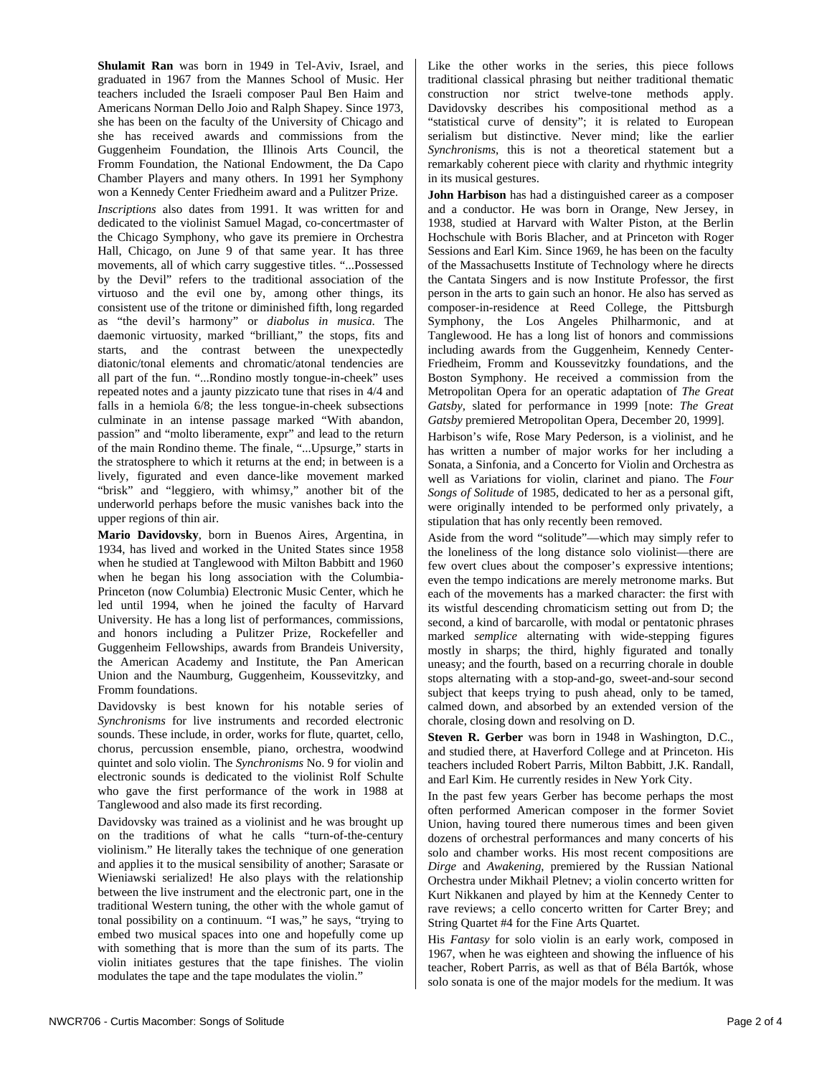**Shulamit Ran** was born in 1949 in Tel-Aviv, Israel, and graduated in 1967 from the Mannes School of Music. Her teachers included the Israeli composer Paul Ben Haim and Americans Norman Dello Joio and Ralph Shapey. Since 1973, she has been on the faculty of the University of Chicago and she has received awards and commissions from the Guggenheim Foundation, the Illinois Arts Council, the Fromm Foundation, the National Endowment, the Da Capo Chamber Players and many others. In 1991 her Symphony won a Kennedy Center Friedheim award and a Pulitzer Prize.

*Inscriptions* also dates from 1991. It was written for and dedicated to the violinist Samuel Magad, co-concertmaster of the Chicago Symphony, who gave its premiere in Orchestra Hall, Chicago, on June 9 of that same year. It has three movements, all of which carry suggestive titles. "...Possessed by the Devil" refers to the traditional association of the virtuoso and the evil one by, among other things, its consistent use of the tritone or diminished fifth, long regarded as "the devil's harmony" or *diabolus in musica*. The daemonic virtuosity, marked "brilliant," the stops, fits and starts, and the contrast between the unexpectedly diatonic/tonal elements and chromatic/atonal tendencies are all part of the fun. "...Rondino mostly tongue-in-cheek" uses repeated notes and a jaunty pizzicato tune that rises in 4/4 and falls in a hemiola 6/8; the less tongue-in-cheek subsections culminate in an intense passage marked "With abandon, passion" and "molto liberamente, expr" and lead to the return of the main Rondino theme. The finale, "...Upsurge," starts in the stratosphere to which it returns at the end; in between is a lively, figurated and even dance-like movement marked "brisk" and "leggiero, with whimsy," another bit of the underworld perhaps before the music vanishes back into the upper regions of thin air.

**Mario Davidovsky**, born in Buenos Aires, Argentina, in 1934, has lived and worked in the United States since 1958 when he studied at Tanglewood with Milton Babbitt and 1960 when he began his long association with the Columbia-Princeton (now Columbia) Electronic Music Center, which he led until 1994, when he joined the faculty of Harvard University. He has a long list of performances, commissions, and honors including a Pulitzer Prize, Rockefeller and Guggenheim Fellowships, awards from Brandeis University, the American Academy and Institute, the Pan American Union and the Naumburg, Guggenheim, Koussevitzky, and Fromm foundations.

Davidovsky is best known for his notable series of *Synchronisms* for live instruments and recorded electronic sounds. These include, in order, works for flute, quartet, cello, chorus, percussion ensemble, piano, orchestra, woodwind quintet and solo violin. The *Synchronisms* No. 9 for violin and electronic sounds is dedicated to the violinist Rolf Schulte who gave the first performance of the work in 1988 at Tanglewood and also made its first recording.

Davidovsky was trained as a violinist and he was brought up on the traditions of what he calls "turn-of-the-century violinism." He literally takes the technique of one generation and applies it to the musical sensibility of another; Sarasate or Wieniawski serialized! He also plays with the relationship between the live instrument and the electronic part, one in the traditional Western tuning, the other with the whole gamut of tonal possibility on a continuum. "I was," he says, "trying to embed two musical spaces into one and hopefully come up with something that is more than the sum of its parts. The violin initiates gestures that the tape finishes. The violin modulates the tape and the tape modulates the violin."

Like the other works in the series, this piece follows traditional classical phrasing but neither traditional thematic construction nor strict twelve-tone methods apply. Davidovsky describes his compositional method as a "statistical curve of density"; it is related to European serialism but distinctive. Never mind; like the earlier *Synchronisms*, this is not a theoretical statement but a remarkably coherent piece with clarity and rhythmic integrity in its musical gestures.

**John Harbison** has had a distinguished career as a composer and a conductor. He was born in Orange, New Jersey, in 1938, studied at Harvard with Walter Piston, at the Berlin Hochschule with Boris Blacher, and at Princeton with Roger Sessions and Earl Kim. Since 1969, he has been on the faculty of the Massachusetts Institute of Technology where he directs the Cantata Singers and is now Institute Professor, the first person in the arts to gain such an honor. He also has served as composer-in-residence at Reed College, the Pittsburgh Symphony, the Los Angeles Philharmonic, and at Tanglewood. He has a long list of honors and commissions including awards from the Guggenheim, Kennedy Center-Friedheim, Fromm and Koussevitzky foundations, and the Boston Symphony. He received a commission from the Metropolitan Opera for an operatic adaptation of *The Great Gatsby*, slated for performance in 1999 [note: *The Great Gatsby* premiered Metropolitan Opera, December 20, 1999].

Harbison's wife, Rose Mary Pederson, is a violinist, and he has written a number of major works for her including a Sonata, a Sinfonia, and a Concerto for Violin and Orchestra as well as Variations for violin, clarinet and piano. The *Four Songs of Solitude* of 1985, dedicated to her as a personal gift, were originally intended to be performed only privately, a stipulation that has only recently been removed.

Aside from the word "solitude"—which may simply refer to the loneliness of the long distance solo violinist—there are few overt clues about the composer's expressive intentions; even the tempo indications are merely metronome marks. But each of the movements has a marked character: the first with its wistful descending chromaticism setting out from D; the second, a kind of barcarolle, with modal or pentatonic phrases marked *semplice* alternating with wide-stepping figures mostly in sharps; the third, highly figurated and tonally uneasy; and the fourth, based on a recurring chorale in double stops alternating with a stop-and-go, sweet-and-sour second subject that keeps trying to push ahead, only to be tamed, calmed down, and absorbed by an extended version of the chorale, closing down and resolving on D.

**Steven R. Gerber** was born in 1948 in Washington, D.C., and studied there, at Haverford College and at Princeton. His teachers included Robert Parris, Milton Babbitt, J.K. Randall, and Earl Kim. He currently resides in New York City.

In the past few years Gerber has become perhaps the most often performed American composer in the former Soviet Union, having toured there numerous times and been given dozens of orchestral performances and many concerts of his solo and chamber works. His most recent compositions are *Dirge* and *Awakening*, premiered by the Russian National Orchestra under Mikhail Pletnev; a violin concerto written for Kurt Nikkanen and played by him at the Kennedy Center to rave reviews; a cello concerto written for Carter Brey; and String Quartet #4 for the Fine Arts Quartet.

His *Fantasy* for solo violin is an early work, composed in 1967, when he was eighteen and showing the influence of his teacher, Robert Parris, as well as that of Béla Bartók, whose solo sonata is one of the major models for the medium. It was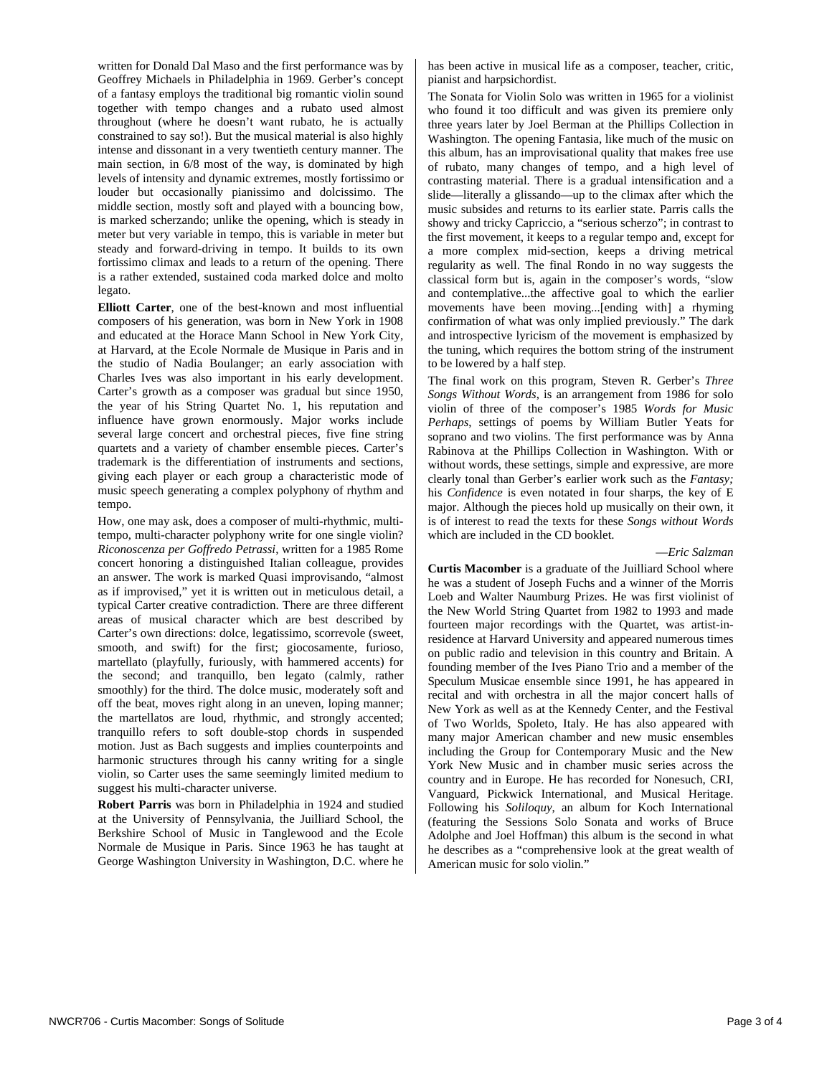written for Donald Dal Maso and the first performance was by Geoffrey Michaels in Philadelphia in 1969. Gerber's concept of a fantasy employs the traditional big romantic violin sound together with tempo changes and a rubato used almost throughout (where he doesn't want rubato, he is actually constrained to say so!). But the musical material is also highly intense and dissonant in a very twentieth century manner. The main section, in 6/8 most of the way, is dominated by high levels of intensity and dynamic extremes, mostly fortissimo or louder but occasionally pianissimo and dolcissimo. The middle section, mostly soft and played with a bouncing bow, is marked scherzando; unlike the opening, which is steady in meter but very variable in tempo, this is variable in meter but steady and forward-driving in tempo. It builds to its own fortissimo climax and leads to a return of the opening. There is a rather extended, sustained coda marked dolce and molto legato.

**Elliott Carter**, one of the best-known and most influential composers of his generation, was born in New York in 1908 and educated at the Horace Mann School in New York City, at Harvard, at the Ecole Normale de Musique in Paris and in the studio of Nadia Boulanger; an early association with Charles Ives was also important in his early development. Carter's growth as a composer was gradual but since 1950, the year of his String Quartet No. 1, his reputation and influence have grown enormously. Major works include several large concert and orchestral pieces, five fine string quartets and a variety of chamber ensemble pieces. Carter's trademark is the differentiation of instruments and sections, giving each player or each group a characteristic mode of music speech generating a complex polyphony of rhythm and tempo.

How, one may ask, does a composer of multi-rhythmic, multitempo, multi-character polyphony write for one single violin? *Riconoscenza per Goffredo Petrassi*, written for a 1985 Rome concert honoring a distinguished Italian colleague, provides an answer. The work is marked Quasi improvisando, "almost as if improvised," yet it is written out in meticulous detail, a typical Carter creative contradiction. There are three different areas of musical character which are best described by Carter's own directions: dolce, legatissimo, scorrevole (sweet, smooth, and swift) for the first; giocosamente, furioso, martellato (playfully, furiously, with hammered accents) for the second; and tranquillo, ben legato (calmly, rather smoothly) for the third. The dolce music, moderately soft and off the beat, moves right along in an uneven, loping manner; the martellatos are loud, rhythmic, and strongly accented; tranquillo refers to soft double-stop chords in suspended motion. Just as Bach suggests and implies counterpoints and harmonic structures through his canny writing for a single violin, so Carter uses the same seemingly limited medium to suggest his multi-character universe.

**Robert Parris** was born in Philadelphia in 1924 and studied at the University of Pennsylvania, the Juilliard School, the Berkshire School of Music in Tanglewood and the Ecole Normale de Musique in Paris. Since 1963 he has taught at George Washington University in Washington, D.C. where he

has been active in musical life as a composer, teacher, critic, pianist and harpsichordist.

The Sonata for Violin Solo was written in 1965 for a violinist who found it too difficult and was given its premiere only three years later by Joel Berman at the Phillips Collection in Washington. The opening Fantasia, like much of the music on this album, has an improvisational quality that makes free use of rubato, many changes of tempo, and a high level of contrasting material. There is a gradual intensification and a slide—literally a glissando—up to the climax after which the music subsides and returns to its earlier state. Parris calls the showy and tricky Capriccio, a "serious scherzo"; in contrast to the first movement, it keeps to a regular tempo and, except for a more complex mid-section, keeps a driving metrical regularity as well. The final Rondo in no way suggests the classical form but is, again in the composer's words, "slow and contemplative...the affective goal to which the earlier movements have been moving...[ending with] a rhyming confirmation of what was only implied previously." The dark and introspective lyricism of the movement is emphasized by the tuning, which requires the bottom string of the instrument to be lowered by a half step.

The final work on this program, Steven R. Gerber's *Three Songs Without Words*, is an arrangement from 1986 for solo violin of three of the composer's 1985 *Words for Music Perhaps*, settings of poems by William Butler Yeats for soprano and two violins. The first performance was by Anna Rabinova at the Phillips Collection in Washington. With or without words, these settings, simple and expressive, are more clearly tonal than Gerber's earlier work such as the *Fantasy;* his *Confidence* is even notated in four sharps, the key of E major. Although the pieces hold up musically on their own, it is of interest to read the texts for these *Songs without Words* which are included in the CD booklet.

—*Eric Salzman*

**Curtis Macomber** is a graduate of the Juilliard School where he was a student of Joseph Fuchs and a winner of the Morris Loeb and Walter Naumburg Prizes. He was first violinist of the New World String Quartet from 1982 to 1993 and made fourteen major recordings with the Quartet, was artist-inresidence at Harvard University and appeared numerous times on public radio and television in this country and Britain. A founding member of the Ives Piano Trio and a member of the Speculum Musicae ensemble since 1991, he has appeared in recital and with orchestra in all the major concert halls of New York as well as at the Kennedy Center, and the Festival of Two Worlds, Spoleto, Italy. He has also appeared with many major American chamber and new music ensembles including the Group for Contemporary Music and the New York New Music and in chamber music series across the country and in Europe. He has recorded for Nonesuch, CRI, Vanguard, Pickwick International, and Musical Heritage. Following his *Soliloquy*, an album for Koch International (featuring the Sessions Solo Sonata and works of Bruce Adolphe and Joel Hoffman) this album is the second in what he describes as a "comprehensive look at the great wealth of American music for solo violin."